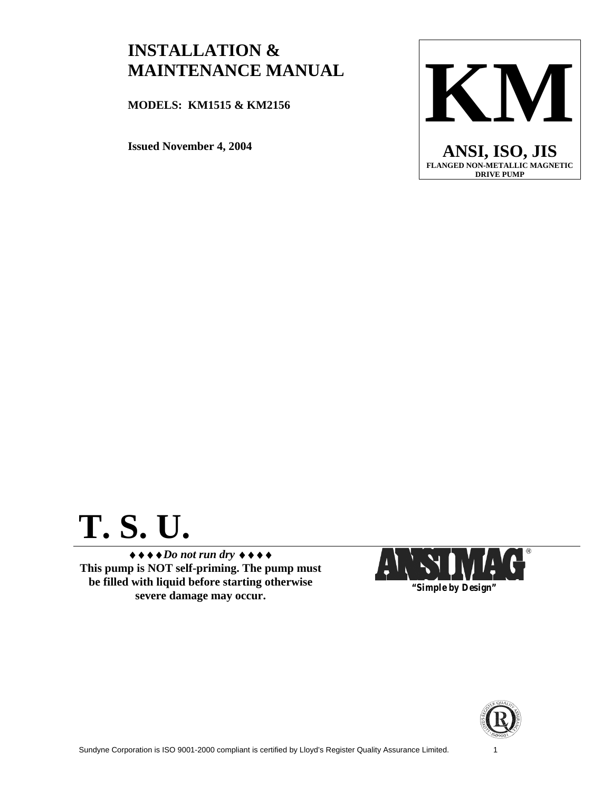# **INSTALLATION & MAINTENANCE MANUAL**

**MODELS: KM1515 & KM2156** 

**Issued November 4, 2004** 



# **T. S. U.**

♦♦♦♦*Do not run dry* ♦♦♦♦ **This pump is NOT self-priming. The pump must be filled with liquid before starting otherwise severe damage may occur.** *"Simple by Design"*



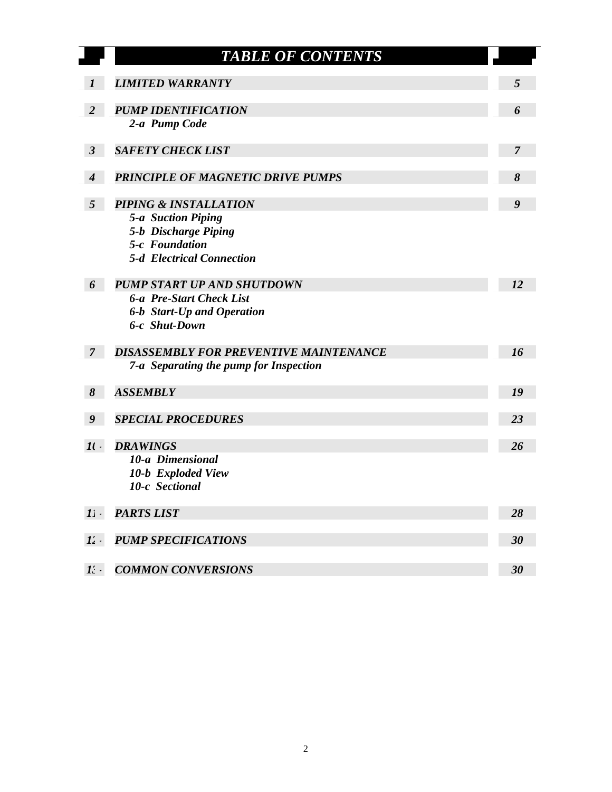|                  | <b>TABLE OF CONTENTS</b>                      |                |
|------------------|-----------------------------------------------|----------------|
| 1                | <b>LIMITED WARRANTY</b>                       | 5              |
| $\overline{2}$   | <b>PUMP IDENTIFICATION</b>                    | 6              |
|                  | 2-a Pump Code                                 |                |
| $\mathfrak{Z}$   | <b>SAFETY CHECK LIST</b>                      | $\overline{7}$ |
|                  | <b>PRINCIPLE OF MAGNETIC DRIVE PUMPS</b>      | 8              |
| $\boldsymbol{4}$ |                                               |                |
| $5\overline{)}$  | <b>PIPING &amp; INSTALLATION</b>              | 9              |
|                  | <b>5-a Suction Piping</b>                     |                |
|                  | 5-b Discharge Piping<br>5-c Foundation        |                |
|                  | <b>5-d</b> Electrical Connection              |                |
| 6                | <b>PUMP START UP AND SHUTDOWN</b>             | 12             |
|                  | <b>6-a Pre-Start Check List</b>               |                |
|                  | 6-b Start-Up and Operation                    |                |
|                  | 6-c Shut-Down                                 |                |
| 7 <sup>2</sup>   | <b>DISASSEMBLY FOR PREVENTIVE MAINTENANCE</b> | 16             |
|                  | 7-a Separating the pump for Inspection        |                |
| 8                | <b>ASSEMBLY</b>                               | 19             |
| 9                | <b>SPECIAL PROCEDURES</b>                     | 23             |
|                  |                                               |                |
| $\mathcal{H}$ .  | <b>DRAWINGS</b>                               | 26             |
|                  | 10-a Dimensional                              |                |
|                  | 10-b Exploded View<br>10-c Sectional          |                |
|                  |                                               |                |
| $1$ .            | <b>PARTS LIST</b>                             | 28             |
| 12.              | <b>PUMP SPECIFICATIONS</b>                    | 30             |
|                  |                                               |                |
| $\mathbf{I}$ :   | <b>COMMON CONVERSIONS</b>                     | 30             |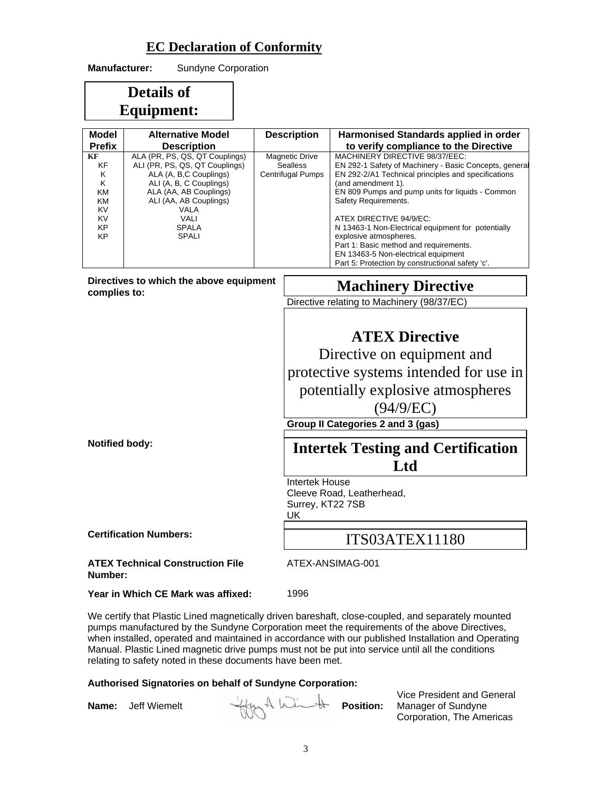## **EC Declaration of Conformity**

| <b>Manufacturer:</b>                                                    | Sundyne Corporation                                                                                                                                                                                                               |                                                                      |                                                  |                                                                                                                                                                                                                                                                                                                                                                                                                                                                                                                                            |  |  |
|-------------------------------------------------------------------------|-----------------------------------------------------------------------------------------------------------------------------------------------------------------------------------------------------------------------------------|----------------------------------------------------------------------|--------------------------------------------------|--------------------------------------------------------------------------------------------------------------------------------------------------------------------------------------------------------------------------------------------------------------------------------------------------------------------------------------------------------------------------------------------------------------------------------------------------------------------------------------------------------------------------------------------|--|--|
|                                                                         | <b>Details of</b>                                                                                                                                                                                                                 |                                                                      |                                                  |                                                                                                                                                                                                                                                                                                                                                                                                                                                                                                                                            |  |  |
|                                                                         | <b>Equipment:</b>                                                                                                                                                                                                                 |                                                                      |                                                  |                                                                                                                                                                                                                                                                                                                                                                                                                                                                                                                                            |  |  |
| Model                                                                   | <b>Alternative Model</b>                                                                                                                                                                                                          |                                                                      | <b>Description</b>                               | Harmonised Standards applied in order                                                                                                                                                                                                                                                                                                                                                                                                                                                                                                      |  |  |
| <b>Prefix</b><br>KF<br>ΚF<br>Κ<br>Κ<br>ΚM<br>ΚM<br>KV<br>KV<br>КP<br>КP | <b>Description</b><br>ALA (PR, PS, QS, QT Couplings)<br>ALI (PR, PS, QS, QT Couplings)<br>ALA (A, B,C Couplings)<br>ALI (A, B, C Couplings)<br>ALA (AA, AB Couplings)<br>ALI (AA, AB Couplings)<br>VALA<br>VALI<br>SPALA<br>SPALI | <b>Magnetic Drive</b><br><b>Sealless</b><br><b>Centrifugal Pumps</b> |                                                  | to verify compliance to the Directive<br>MACHINERY DIRECTIVE 98/37/EEC:<br>EN 292-1 Safety of Machinery - Basic Concepts, general<br>EN 292-2/A1 Technical principles and specifications<br>(and amendment 1).<br>EN 809 Pumps and pump units for liquids - Common<br>Safety Requirements.<br>ATEX DIRECTIVE 94/9/EC:<br>N 13463-1 Non-Electrical equipment for potentially<br>explosive atmospheres.<br>Part 1: Basic method and requirements.<br>EN 13463-5 Non-electrical equipment<br>Part 5: Protection by constructional safety 'c'. |  |  |
| complies to:                                                            | Directives to which the above equipment                                                                                                                                                                                           |                                                                      |                                                  | <b>Machinery Directive</b>                                                                                                                                                                                                                                                                                                                                                                                                                                                                                                                 |  |  |
|                                                                         |                                                                                                                                                                                                                                   |                                                                      |                                                  | Directive relating to Machinery (98/37/EC)                                                                                                                                                                                                                                                                                                                                                                                                                                                                                                 |  |  |
|                                                                         |                                                                                                                                                                                                                                   |                                                                      |                                                  | <b>ATEX Directive</b>                                                                                                                                                                                                                                                                                                                                                                                                                                                                                                                      |  |  |
|                                                                         |                                                                                                                                                                                                                                   |                                                                      |                                                  | Directive on equipment and<br>protective systems intended for use in                                                                                                                                                                                                                                                                                                                                                                                                                                                                       |  |  |
|                                                                         |                                                                                                                                                                                                                                   |                                                                      |                                                  | potentially explosive atmospheres                                                                                                                                                                                                                                                                                                                                                                                                                                                                                                          |  |  |
|                                                                         |                                                                                                                                                                                                                                   |                                                                      | (94/9/EC)                                        |                                                                                                                                                                                                                                                                                                                                                                                                                                                                                                                                            |  |  |
|                                                                         |                                                                                                                                                                                                                                   |                                                                      |                                                  | Group II Categories 2 and 3 (gas)                                                                                                                                                                                                                                                                                                                                                                                                                                                                                                          |  |  |
| <b>Notified body:</b>                                                   |                                                                                                                                                                                                                                   |                                                                      | <b>Intertek Testing and Certification</b><br>Ltd |                                                                                                                                                                                                                                                                                                                                                                                                                                                                                                                                            |  |  |
|                                                                         |                                                                                                                                                                                                                                   |                                                                      | <b>Intertek House</b><br>Surrey, KT22 7SB<br>UK  | Cleeve Road, Leatherhead,                                                                                                                                                                                                                                                                                                                                                                                                                                                                                                                  |  |  |
|                                                                         | <b>Certification Numbers:</b>                                                                                                                                                                                                     |                                                                      |                                                  | <b>ITS03ATEX11180</b>                                                                                                                                                                                                                                                                                                                                                                                                                                                                                                                      |  |  |
| Number:                                                                 | <b>ATEX Technical Construction File</b>                                                                                                                                                                                           |                                                                      |                                                  | ATEX-ANSIMAG-001                                                                                                                                                                                                                                                                                                                                                                                                                                                                                                                           |  |  |
|                                                                         | Year in Which CE Mark was affixed:                                                                                                                                                                                                |                                                                      | 1996                                             |                                                                                                                                                                                                                                                                                                                                                                                                                                                                                                                                            |  |  |

We certify that Plastic Lined magnetically driven bareshaft, close-coupled, and separately mounted pumps manufactured by the Sundyne Corporation meet the requirements of the above Directives, when installed, operated and maintained in accordance with our published Installation and Operating Manual. Plastic Lined magnetic drive pumps must not be put into service until all the conditions relating to safety noted in these documents have been met.

#### **Authorised Signatories on behalf of Sundyne Corporation:**

**Name:** Jeff Wiemelt **Hygers, A. With Position:** 

Vice President and General Manager of Sundyne Corporation, The Americas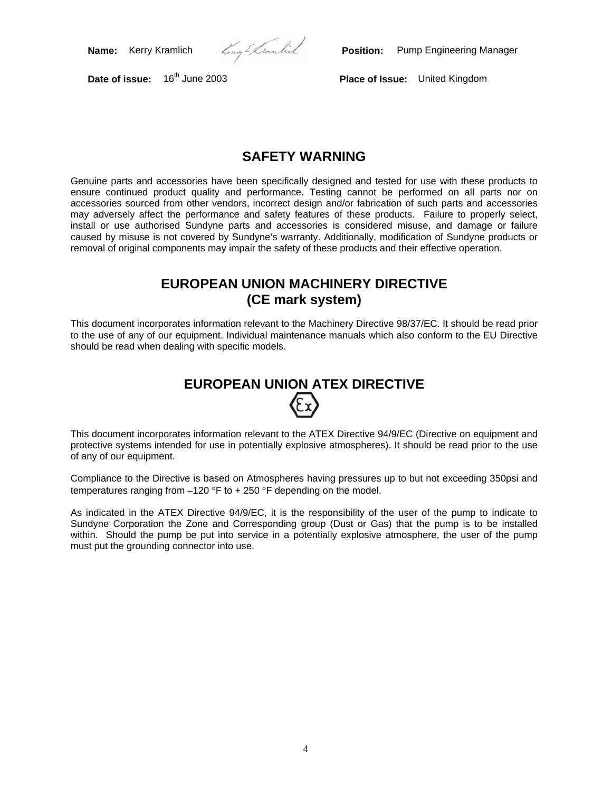**Name:** Kerry Kramlich *Zamential* **Position:** Pump Engineering Manager

**Date of issue:** 16th June 2003 **Place of Issue:** United Kingdom

## **SAFETY WARNING**

Genuine parts and accessories have been specifically designed and tested for use with these products to ensure continued product quality and performance. Testing cannot be performed on all parts nor on accessories sourced from other vendors, incorrect design and/or fabrication of such parts and accessories may adversely affect the performance and safety features of these products. Failure to properly select, install or use authorised Sundyne parts and accessories is considered misuse, and damage or failure caused by misuse is not covered by Sundyne's warranty. Additionally, modification of Sundyne products or removal of original components may impair the safety of these products and their effective operation.

## **EUROPEAN UNION MACHINERY DIRECTIVE (CE mark system)**

This document incorporates information relevant to the Machinery Directive 98/37/EC. It should be read prior to the use of any of our equipment. Individual maintenance manuals which also conform to the EU Directive should be read when dealing with specific models.

# **EUROPEAN UNION ATEX DIRECTIVE**

This document incorporates information relevant to the ATEX Directive 94/9/EC (Directive on equipment and protective systems intended for use in potentially explosive atmospheres). It should be read prior to the use of any of our equipment.

Compliance to the Directive is based on Atmospheres having pressures up to but not exceeding 350psi and temperatures ranging from –120 °F to + 250 °F depending on the model.

As indicated in the ATEX Directive 94/9/EC, it is the responsibility of the user of the pump to indicate to Sundyne Corporation the Zone and Corresponding group (Dust or Gas) that the pump is to be installed within. Should the pump be put into service in a potentially explosive atmosphere, the user of the pump must put the grounding connector into use.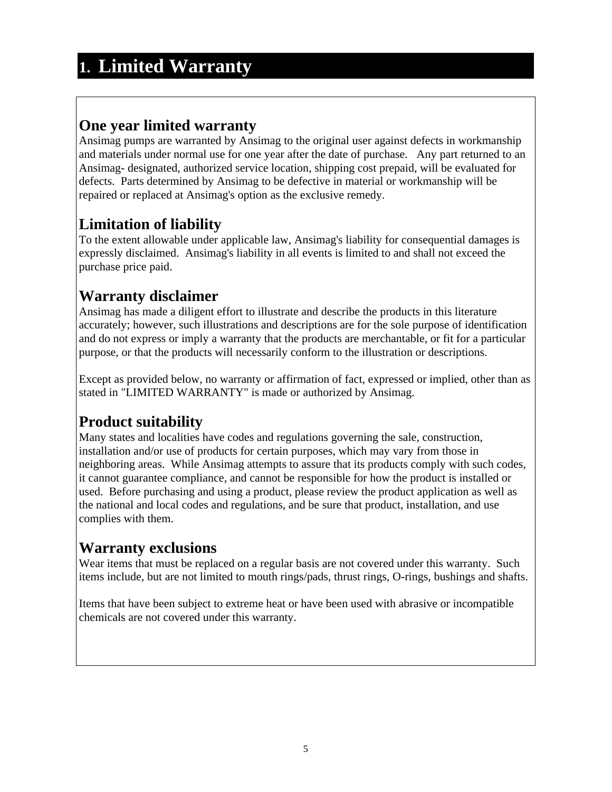# **1. Limited Warranty**

## **One year limited warranty**

Ansimag pumps are warranted by Ansimag to the original user against defects in workmanship and materials under normal use for one year after the date of purchase. Any part returned to an Ansimag- designated, authorized service location, shipping cost prepaid, will be evaluated for defects. Parts determined by Ansimag to be defective in material or workmanship will be repaired or replaced at Ansimag's option as the exclusive remedy.

# **Limitation of liability**

To the extent allowable under applicable law, Ansimag's liability for consequential damages is expressly disclaimed. Ansimag's liability in all events is limited to and shall not exceed the purchase price paid.

## **Warranty disclaimer**

Ansimag has made a diligent effort to illustrate and describe the products in this literature accurately; however, such illustrations and descriptions are for the sole purpose of identification and do not express or imply a warranty that the products are merchantable, or fit for a particular purpose, or that the products will necessarily conform to the illustration or descriptions.

Except as provided below, no warranty or affirmation of fact, expressed or implied, other than as stated in "LIMITED WARRANTY" is made or authorized by Ansimag.

# **Product suitability**

Many states and localities have codes and regulations governing the sale, construction, installation and/or use of products for certain purposes, which may vary from those in neighboring areas. While Ansimag attempts to assure that its products comply with such codes, it cannot guarantee compliance, and cannot be responsible for how the product is installed or used. Before purchasing and using a product, please review the product application as well as the national and local codes and regulations, and be sure that product, installation, and use complies with them.

## **Warranty exclusions**

Wear items that must be replaced on a regular basis are not covered under this warranty. Such items include, but are not limited to mouth rings/pads, thrust rings, O-rings, bushings and shafts.

Items that have been subject to extreme heat or have been used with abrasive or incompatible chemicals are not covered under this warranty.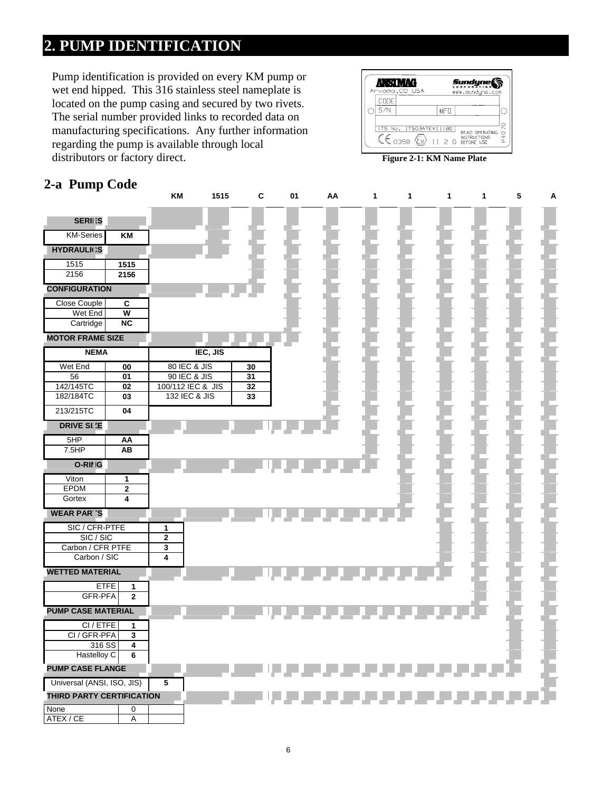# **2. PUMP IDENTIFICATION**

Pump identification is provided on every KM pump or wet end hipped. This 316 stainless steel nameplate is located on the pump casing and secured by two rivets. The serial number provided links to recorded data on manufacturing specifications. Any further information regarding the pump is available through local distributors or factory direct.

| Anvada, CO USA        |                        |  |            | Sundyne(<br>www.sundune.com         |      |
|-----------------------|------------------------|--|------------|-------------------------------------|------|
| CODE                  |                        |  |            |                                     |      |
| S/N                   |                        |  | <b>MFD</b> |                                     |      |
| $\zeta \epsilon$ 0359 | ITS No. ITS03ATEX11180 |  |            | READ OPERATING<br>II 2 G BEFORE USE | P407 |
|                       |                        |  |            | <b>Figure 2-1: KM Name Plate</b>    |      |

## **2-a Pump Code**

|                                             |                         | KM                           | 1515     | C        | 01 | AA | 1 | 1 | $\mathbf{1}$ | $\mathbf 1$ | $\sqrt{5}$ | A |
|---------------------------------------------|-------------------------|------------------------------|----------|----------|----|----|---|---|--------------|-------------|------------|---|
| <b>SERII:S</b>                              |                         |                              |          |          |    |    |   |   |              |             |            |   |
| <b>KM-Series</b>                            | KM                      |                              |          |          |    |    |   |   |              |             |            |   |
| <b>HYDRAULICS</b>                           |                         |                              |          |          |    |    |   |   |              |             |            |   |
| 1515                                        | 1515                    |                              |          |          |    |    |   |   |              |             |            |   |
| 2156                                        | 2156                    |                              |          |          |    |    |   |   |              |             |            |   |
| <b>CONFIGURATION</b><br><b>Close Couple</b> | C                       |                              |          |          |    |    |   |   |              |             |            |   |
| Wet End                                     | $\overline{\mathsf{w}}$ |                              |          |          |    |    |   |   |              |             |            |   |
| Cartridge                                   | NC                      |                              |          |          |    |    |   |   |              |             |            |   |
| <b>MOTOR FRAME SIZE</b>                     |                         |                              |          |          |    |    |   |   |              |             |            |   |
| <b>NEMA</b>                                 |                         |                              | IEC, JIS |          |    |    |   |   |              |             |            |   |
| Wet End<br>56                               | 00<br>01                | 80 IEC & JIS<br>90 IEC & JIS |          | 30<br>31 |    |    |   |   |              |             |            |   |
| 142/145TC                                   | 02                      | 100/112 IEC & JIS            |          | 32       |    |    |   |   |              |             |            |   |
| 182/184TC                                   | 03                      | 132 IEC & JIS                |          | 33       |    |    |   |   |              |             |            |   |
| 213/215TC                                   | 04                      |                              |          |          |    |    |   |   |              |             |            |   |
| <b>DRIVE SI.'E</b>                          |                         |                              |          |          |    |    |   |   |              |             |            |   |
| 5HP                                         | AA                      |                              |          |          |    |    |   |   |              |             |            |   |
| 7.5HP                                       | AB                      |                              |          |          |    |    |   |   |              |             |            |   |
| O-RING                                      |                         |                              |          |          |    |    |   |   |              |             |            |   |
| Viton<br>EPDM                               | 1<br>$\overline{2}$     |                              |          |          |    |    |   |   |              |             |            |   |
| Gortex                                      | 4                       |                              |          |          |    |    |   |   |              |             |            |   |
| <b>WEAR PARTS</b>                           |                         |                              |          |          |    |    |   |   |              |             |            |   |
| SIC / CFR-PTFE                              |                         | 1                            |          |          |    |    |   |   |              |             |            |   |
| SIC/SIC<br>Carbon / CFR PTFE                |                         | $\mathbf 2$<br>$\mathbf 3$   |          |          |    |    |   |   |              |             |            |   |
| Carbon / SIC                                |                         | $\overline{4}$               |          |          |    |    |   |   |              |             |            |   |
| <b>WETTED MATERIAL</b>                      |                         |                              |          |          |    |    |   |   |              |             |            |   |
| <b>ETFE</b>                                 | 1                       |                              |          |          |    |    |   |   |              |             |            |   |
| <b>GFR-PFA</b>                              | $\mathbf{2}$            |                              |          |          |    |    |   |   |              |             |            |   |
| <b>PUMP CASE MATERIAL</b>                   |                         |                              |          |          |    |    |   |   |              |             |            |   |
| CI / ETFE<br>CI / GFR-PFA                   | 1<br>3                  |                              |          |          |    |    |   |   |              |             |            |   |
| 316 SS                                      | 4                       |                              |          |          |    |    |   |   |              |             |            |   |
| Hastelloy C                                 | 6                       |                              |          |          |    |    |   |   |              |             |            |   |
| <b>PUMP CASE FLANGE</b>                     |                         |                              |          |          |    |    |   |   |              |             |            |   |
| Universal (ANSI, ISO, JIS)                  |                         | 5                            |          |          |    |    |   |   |              |             |            |   |
| THIRD PARTY CERTIFICATION                   |                         |                              |          |          |    |    |   |   |              |             |            |   |
| None<br>ATEX / CE                           | 0<br>A                  |                              |          |          |    |    |   |   |              |             |            |   |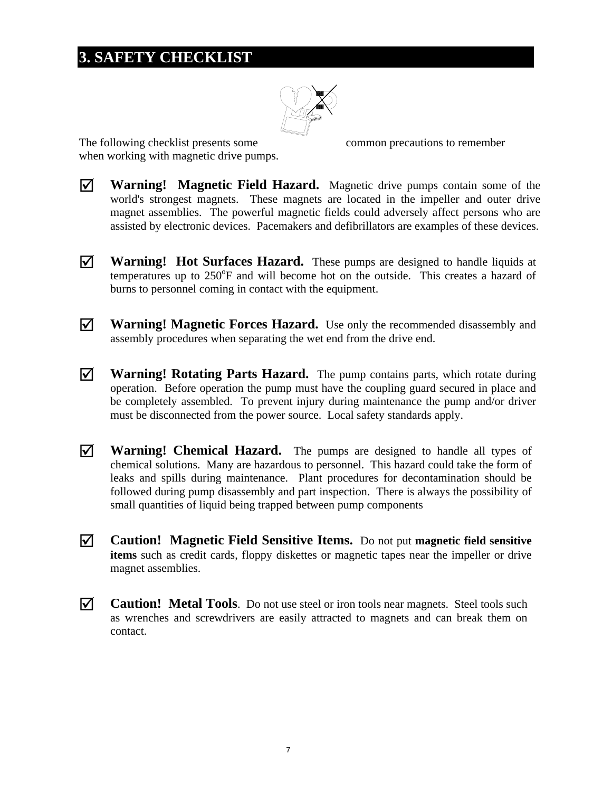# **3. SAFETY CHECKLIST**



The following checklist presents some common precautions to remember when working with magnetic drive pumps.

- ; **Warning! Magnetic Field Hazard.** Magnetic drive pumps contain some of the world's strongest magnets. These magnets are located in the impeller and outer drive magnet assemblies. The powerful magnetic fields could adversely affect persons who are assisted by electronic devices. Pacemakers and defibrillators are examples of these devices.
- $\vec{\mathcal{A}}$  **Warning! Hot Surfaces Hazard.** These pumps are designed to handle liquids at temperatures up to 250°F and will become hot on the outside. This creates a hazard of burns to personnel coming in contact with the equipment.
- $\overline{M}$  **Warning! Magnetic Forces Hazard.** Use only the recommended disassembly and assembly procedures when separating the wet end from the drive end.
- $\overline{V}$  **Warning! Rotating Parts Hazard.** The pump contains parts, which rotate during operation. Before operation the pump must have the coupling guard secured in place and be completely assembled. To prevent injury during maintenance the pump and/or driver must be disconnected from the power source. Local safety standards apply.
- $\overline{V}$  **Warning! Chemical Hazard.** The pumps are designed to handle all types of chemical solutions. Many are hazardous to personnel. This hazard could take the form of leaks and spills during maintenance. Plant procedures for decontamination should be followed during pump disassembly and part inspection. There is always the possibility of small quantities of liquid being trapped between pump components
- ; **Caution! Magnetic Field Sensitive Items.** Do not put **magnetic field sensitive items** such as credit cards, floppy diskettes or magnetic tapes near the impeller or drive magnet assemblies.
- $\vec{\mathcal{A}}$  **Caution! Metal Tools**. Do not use steel or iron tools near magnets. Steel tools such as wrenches and screwdrivers are easily attracted to magnets and can break them on contact.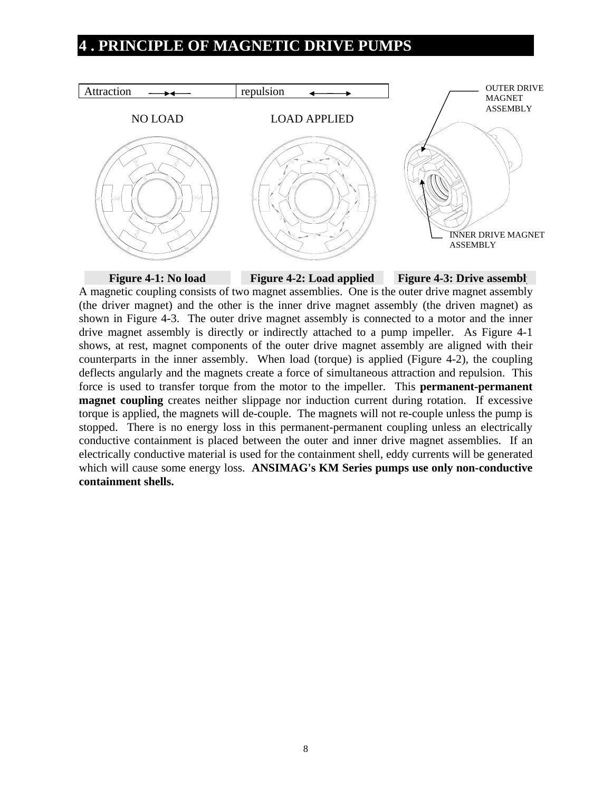## **4 . PRINCIPLE OF MAGNETIC DRIVE PUMPS**



**Figure 4-1: No load Figure 4-2: Load applied Figure 4-3: Drive assembl** A magnetic coupling consists of two magnet assemblies. One is the outer drive magnet assembly (the driver magnet) and the other is the inner drive magnet assembly (the driven magnet) as shown in Figure 4-3. The outer drive magnet assembly is connected to a motor and the inner drive magnet assembly is directly or indirectly attached to a pump impeller. As Figure 4-1 shows, at rest, magnet components of the outer drive magnet assembly are aligned with their counterparts in the inner assembly. When load (torque) is applied (Figure 4-2), the coupling deflects angularly and the magnets create a force of simultaneous attraction and repulsion. This force is used to transfer torque from the motor to the impeller. This **permanent-permanent magnet coupling** creates neither slippage nor induction current during rotation. If excessive torque is applied, the magnets will de-couple. The magnets will not re-couple unless the pump is stopped. There is no energy loss in this permanent-permanent coupling unless an electrically conductive containment is placed between the outer and inner drive magnet assemblies. If an electrically conductive material is used for the containment shell, eddy currents will be generated which will cause some energy loss. **ANSIMAG's KM Series pumps use only non-conductive containment shells.**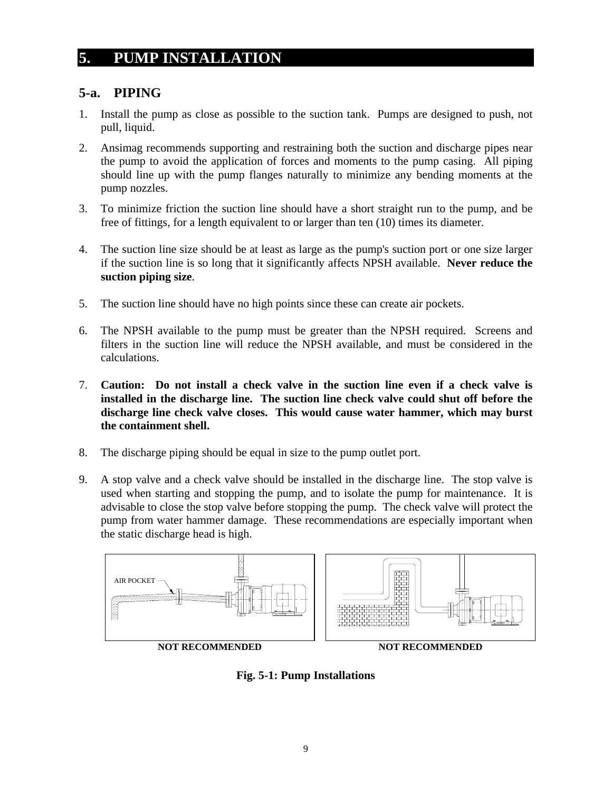## **5. PUMP INSTALLATION**

### **5-a. PIPING**

- 1. Install the pump as close as possible to the suction tank. Pumps are designed to push, not pull, liquid.
- 2. Ansimag recommends supporting and restraining both the suction and discharge pipes near the pump to avoid the application of forces and moments to the pump casing. All piping should line up with the pump flanges naturally to minimize any bending moments at the pump nozzles.
- 3. To minimize friction the suction line should have a short straight run to the pump, and be free of fittings, for a length equivalent to or larger than ten (10) times its diameter.
- 4. The suction line size should be at least as large as the pump's suction port or one size larger if the suction line is so long that it significantly affects NPSH available. **Never reduce the suction piping size**.
- 5. The suction line should have no high points since these can create air pockets.
- 6. The NPSH available to the pump must be greater than the NPSH required. Screens and filters in the suction line will reduce the NPSH available, and must be considered in the calculations.
- 7. **Caution: Do not install a check valve in the suction line even if a check valve is installed in the discharge line. The suction line check valve could shut off before the discharge line check valve closes. This would cause water hammer, which may burst the containment shell.**
- 8. The discharge piping should be equal in size to the pump outlet port.
- 9. A stop valve and a check valve should be installed in the discharge line. The stop valve is used when starting and stopping the pump, and to isolate the pump for maintenance. It is advisable to close the stop valve before stopping the pump. The check valve will protect the pump from water hammer damage. These recommendations are especially important when the static discharge head is high.



**Fig. 5-1: Pump Installations**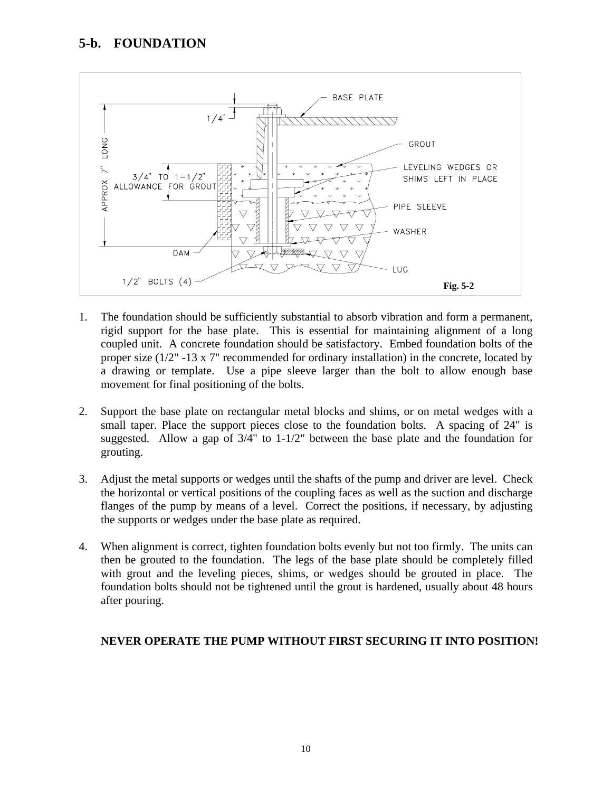

- 1. The foundation should be sufficiently substantial to absorb vibration and form a permanent, rigid support for the base plate. This is essential for maintaining alignment of a long coupled unit. A concrete foundation should be satisfactory. Embed foundation bolts of the proper size (1/2" -13 x 7" recommended for ordinary installation) in the concrete, located by a drawing or template. Use a pipe sleeve larger than the bolt to allow enough base movement for final positioning of the bolts.
- 2. Support the base plate on rectangular metal blocks and shims, or on metal wedges with a small taper. Place the support pieces close to the foundation bolts. A spacing of 24" is suggested. Allow a gap of 3/4" to 1-1/2" between the base plate and the foundation for grouting.
- 3. Adjust the metal supports or wedges until the shafts of the pump and driver are level. Check the horizontal or vertical positions of the coupling faces as well as the suction and discharge flanges of the pump by means of a level. Correct the positions, if necessary, by adjusting the supports or wedges under the base plate as required.
- 4. When alignment is correct, tighten foundation bolts evenly but not too firmly. The units can then be grouted to the foundation. The legs of the base plate should be completely filled with grout and the leveling pieces, shims, or wedges should be grouted in place. The foundation bolts should not be tightened until the grout is hardened, usually about 48 hours after pouring.

#### **NEVER OPERATE THE PUMP WITHOUT FIRST SECURING IT INTO POSITION!**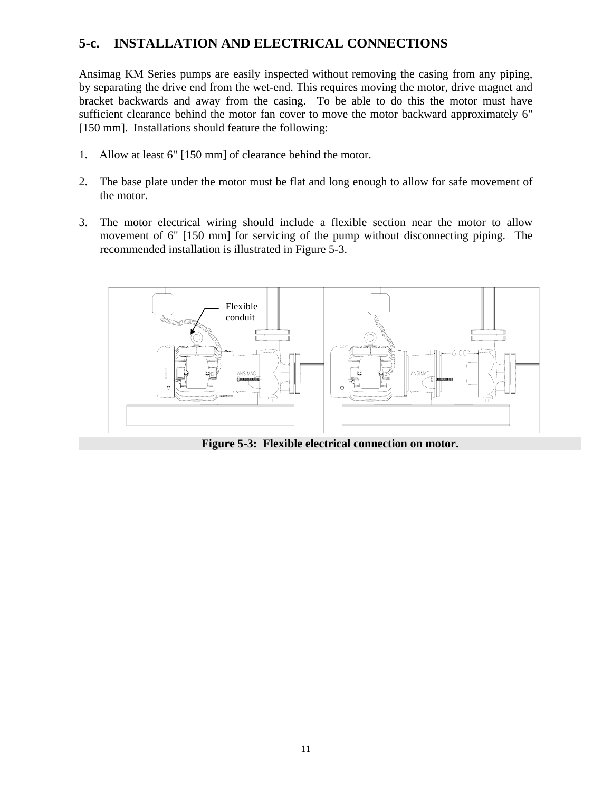## **5-c. INSTALLATION AND ELECTRICAL CONNECTIONS**

Ansimag KM Series pumps are easily inspected without removing the casing from any piping, by separating the drive end from the wet-end. This requires moving the motor, drive magnet and bracket backwards and away from the casing. To be able to do this the motor must have sufficient clearance behind the motor fan cover to move the motor backward approximately 6" [150 mm]. Installations should feature the following:

- 1. Allow at least 6" [150 mm] of clearance behind the motor.
- 2. The base plate under the motor must be flat and long enough to allow for safe movement of the motor.
- 3. The motor electrical wiring should include a flexible section near the motor to allow movement of 6" [150 mm] for servicing of the pump without disconnecting piping. The recommended installation is illustrated in Figure 5-3.



**Figure 5-3: Flexible electrical connection on motor.**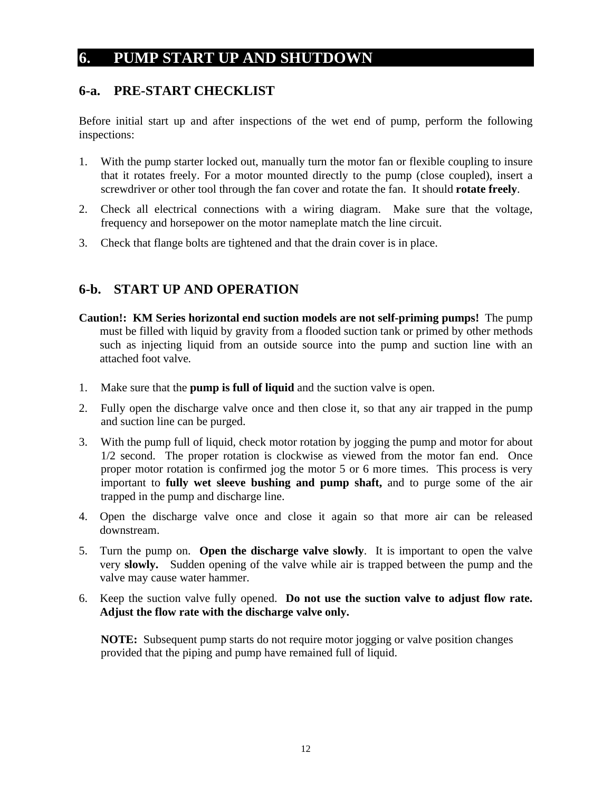## **6. PUMP START UP AND SHUTDOWN**

## **6-a. PRE-START CHECKLIST**

Before initial start up and after inspections of the wet end of pump, perform the following inspections:

- 1. With the pump starter locked out, manually turn the motor fan or flexible coupling to insure that it rotates freely. For a motor mounted directly to the pump (close coupled), insert a screwdriver or other tool through the fan cover and rotate the fan. It should **rotate freely**.
- 2. Check all electrical connections with a wiring diagram. Make sure that the voltage, frequency and horsepower on the motor nameplate match the line circuit.
- 3. Check that flange bolts are tightened and that the drain cover is in place.

## **6-b. START UP AND OPERATION**

- **Caution!: KM Series horizontal end suction models are not self-priming pumps!** The pump must be filled with liquid by gravity from a flooded suction tank or primed by other methods such as injecting liquid from an outside source into the pump and suction line with an attached foot valve*.*
- 1. Make sure that the **pump is full of liquid** and the suction valve is open.
- 2. Fully open the discharge valve once and then close it, so that any air trapped in the pump and suction line can be purged.
- 3. With the pump full of liquid, check motor rotation by jogging the pump and motor for about 1/2 second. The proper rotation is clockwise as viewed from the motor fan end. Once proper motor rotation is confirmed jog the motor 5 or 6 more times. This process is very important to **fully wet sleeve bushing and pump shaft,** and to purge some of the air trapped in the pump and discharge line.
- 4. Open the discharge valve once and close it again so that more air can be released downstream.
- 5. Turn the pump on. **Open the discharge valve slowly**. It is important to open the valve very **slowly.** Sudden opening of the valve while air is trapped between the pump and the valve may cause water hammer.
- 6. Keep the suction valve fully opened. **Do not use the suction valve to adjust flow rate. Adjust the flow rate with the discharge valve only.**

**NOTE:** Subsequent pump starts do not require motor jogging or valve position changes provided that the piping and pump have remained full of liquid.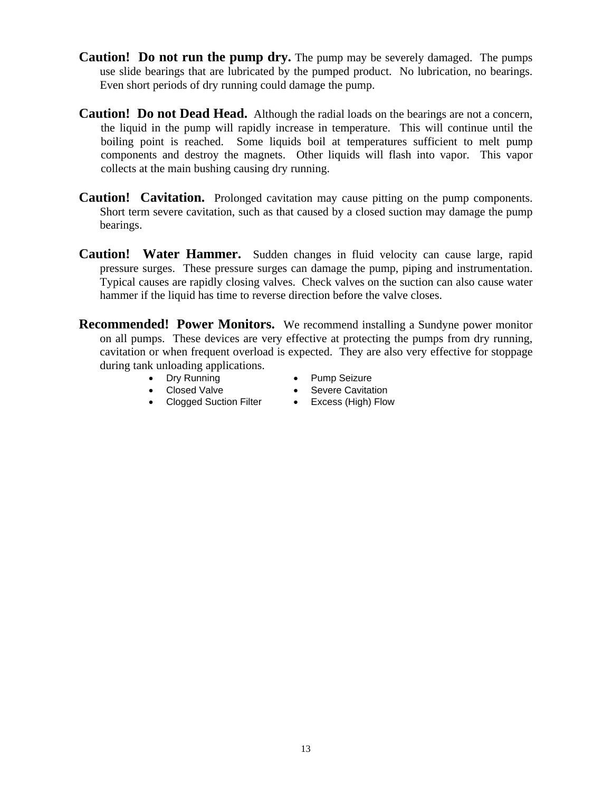- **Caution! Do not run the pump dry.** The pump may be severely damaged. The pumps use slide bearings that are lubricated by the pumped product. No lubrication, no bearings. Even short periods of dry running could damage the pump.
- **Caution! Do not Dead Head.** Although the radial loads on the bearings are not a concern, the liquid in the pump will rapidly increase in temperature. This will continue until the boiling point is reached. Some liquids boil at temperatures sufficient to melt pump components and destroy the magnets. Other liquids will flash into vapor. This vapor collects at the main bushing causing dry running.
- **Caution! Cavitation.** Prolonged cavitation may cause pitting on the pump components. Short term severe cavitation, such as that caused by a closed suction may damage the pump bearings.
- **Caution! Water Hammer.** Sudden changes in fluid velocity can cause large, rapid pressure surges. These pressure surges can damage the pump, piping and instrumentation. Typical causes are rapidly closing valves. Check valves on the suction can also cause water hammer if the liquid has time to reverse direction before the valve closes.
- **Recommended! Power Monitors.** We recommend installing a Sundyne power monitor on all pumps. These devices are very effective at protecting the pumps from dry running, cavitation or when frequent overload is expected. They are also very effective for stoppage during tank unloading applications.
	-
	- Dry Running Pump Seizure
		-
	- Closed Valve Severe Cavitation
	- Clogged Suction Filter Excess (High) Flow
-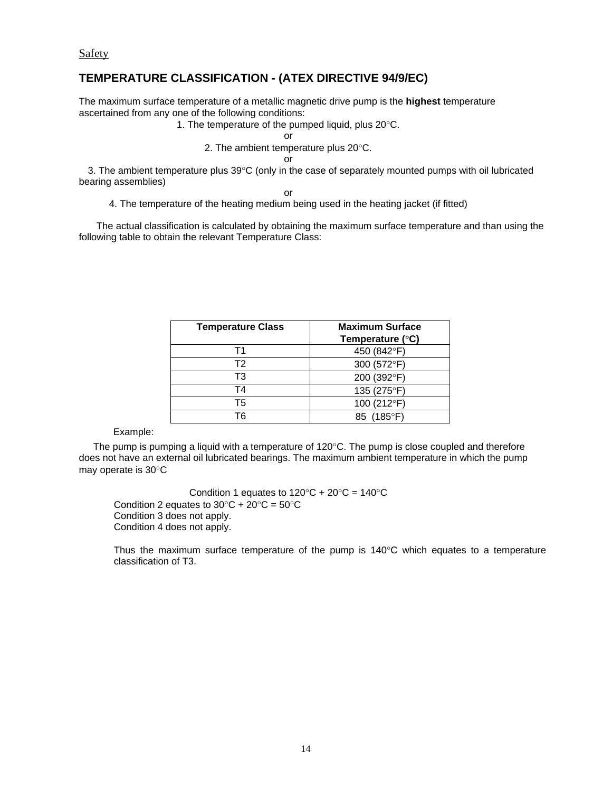Safety

#### **TEMPERATURE CLASSIFICATION - (ATEX DIRECTIVE 94/9/EC)**

The maximum surface temperature of a metallic magnetic drive pump is the **highest** temperature ascertained from any one of the following conditions:

#### 1. The temperature of the pumped liquid, plus 20°C.

**or** *contract to the state of the state of the state of the state of the state of the state of the state of the state of the state of the state of the state of the state of the state of the state of the state of the stat* 

2. The ambient temperature plus 20°C.

**or** and the contract of the contract of the contract of the contract of the contract of the contract of the contract of the contract of the contract of the contract of the contract of the contract of the contract of the c

 3. The ambient temperature plus 39°C (only in the case of separately mounted pumps with oil lubricated bearing assemblies)

**or** *order* 

4. The temperature of the heating medium being used in the heating jacket (if fitted)

 The actual classification is calculated by obtaining the maximum surface temperature and than using the following table to obtain the relevant Temperature Class:

| <b>Temperature Class</b> | <b>Maximum Surface</b><br>Temperature (°C) |
|--------------------------|--------------------------------------------|
| Τ1                       | 450 (842°F)                                |
| T2                       | 300 (572°F)                                |
| TЗ                       | 200 (392°F)                                |
| TΔ                       | 135 (275°F)                                |
| Τ5                       | 100 (212°F)                                |
| Тĥ                       | $(185^{\circ}F)$                           |

Example:

The pump is pumping a liquid with a temperature of  $120^{\circ}$ C. The pump is close coupled and therefore does not have an external oil lubricated bearings. The maximum ambient temperature in which the pump may operate is 30°C

Condition 1 equates to  $120^{\circ}C + 20^{\circ}C = 140^{\circ}C$ Condition 2 equates to  $30^{\circ}$ C +  $20^{\circ}$ C =  $50^{\circ}$ C Condition 3 does not apply. Condition 4 does not apply.

 Thus the maximum surface temperature of the pump is 140°C which equates to a temperature classification of T3.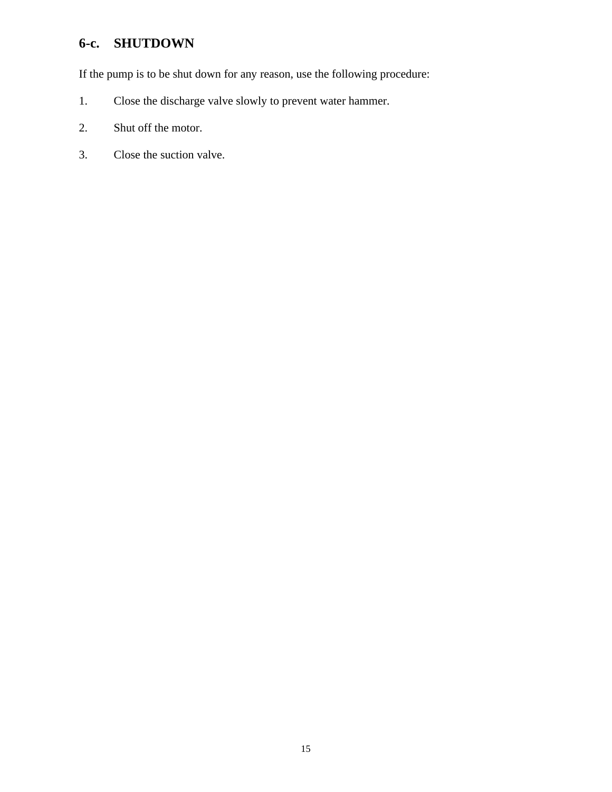# **6-c. SHUTDOWN**

If the pump is to be shut down for any reason, use the following procedure:

- 1. Close the discharge valve slowly to prevent water hammer.
- 2. Shut off the motor.
- 3. Close the suction valve.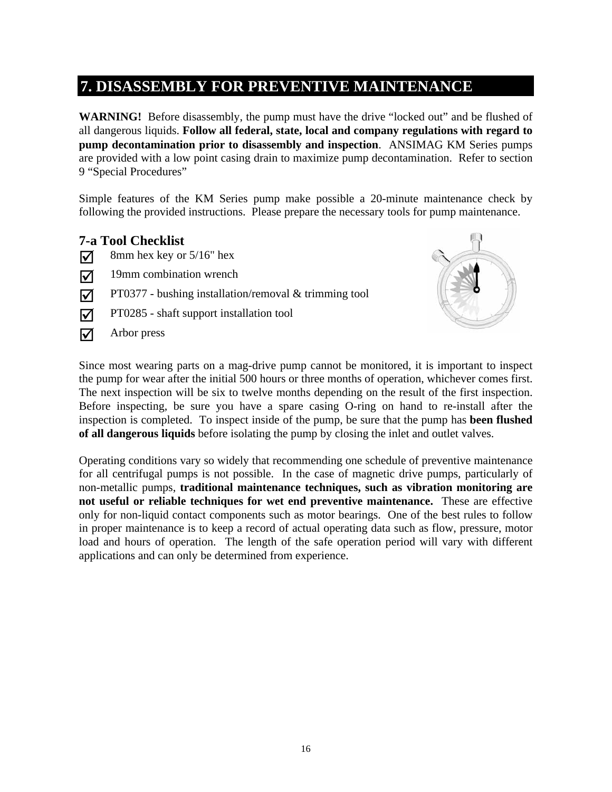## **7. DISASSEMBLY FOR PREVENTIVE MAINTENANCE**

**WARNING!** Before disassembly, the pump must have the drive "locked out" and be flushed of all dangerous liquids. **Follow all federal, state, local and company regulations with regard to pump decontamination prior to disassembly and inspection**. ANSIMAG KM Series pumps are provided with a low point casing drain to maximize pump decontamination. Refer to section 9 "Special Procedures"

Simple features of the KM Series pump make possible a 20-minute maintenance check by following the provided instructions. Please prepare the necessary tools for pump maintenance.

### **7-a Tool Checklist**

- $\sqrt{\phantom{a}}$  8mm hex key or 5/16" hex
- $\overline{M}$  19mm combination wrench
- $\triangledown$  PT0377 bushing installation/removal & trimming tool
- $\triangledown$  PT0285 shaft support installation tool
- $\overline{\mathbf{y}}$  Arbor press



Since most wearing parts on a mag-drive pump cannot be monitored, it is important to inspect the pump for wear after the initial 500 hours or three months of operation, whichever comes first. The next inspection will be six to twelve months depending on the result of the first inspection. Before inspecting, be sure you have a spare casing O-ring on hand to re-install after the inspection is completed. To inspect inside of the pump, be sure that the pump has **been flushed of all dangerous liquids** before isolating the pump by closing the inlet and outlet valves.

Operating conditions vary so widely that recommending one schedule of preventive maintenance for all centrifugal pumps is not possible. In the case of magnetic drive pumps, particularly of non-metallic pumps, **traditional maintenance techniques, such as vibration monitoring are not useful or reliable techniques for wet end preventive maintenance.** These are effective only for non-liquid contact components such as motor bearings. One of the best rules to follow in proper maintenance is to keep a record of actual operating data such as flow, pressure, motor load and hours of operation. The length of the safe operation period will vary with different applications and can only be determined from experience.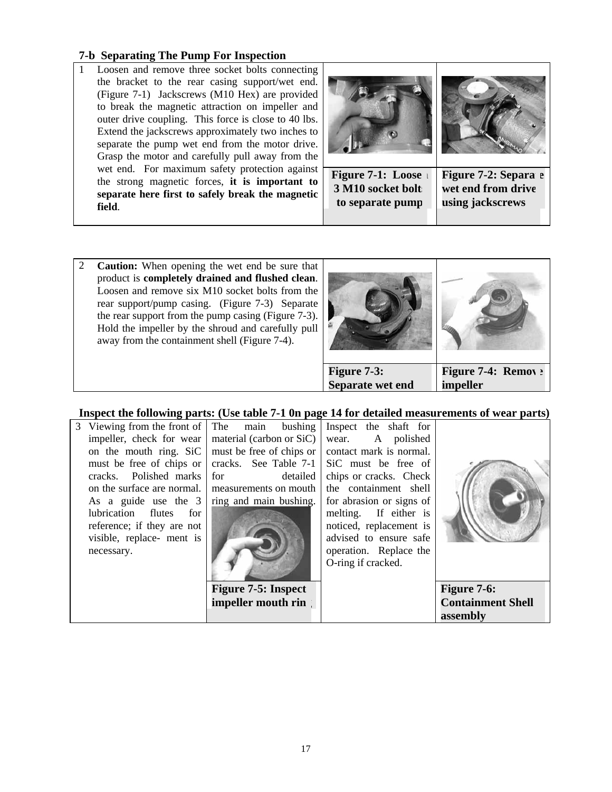#### **7-b Separating The Pump For Inspection**

1 Loosen and remove three socket bolts connecting the bracket to the rear casing support/wet end. (Figure 7-1) Jackscrews (M10 Hex) are provided to break the magnetic attraction on impeller and outer drive coupling. This force is close to 40 lbs. Extend the jackscrews approximately two inches to separate the pump wet end from the motor drive. Grasp the motor and carefully pull away from the wet end. For maximum safety protection against the strong magnetic forces, **it is important to separate here first to safely break the magnetic field**.



2 **Caution:** When opening the wet end be sure that product is **completely drained and flushed clean**. Loosen and remove six M10 socket bolts from the rear support/pump casing. (Figure 7-3) Separate the rear support from the pump casing (Figure 7-3). Hold the impeller by the shroud and carefully pull away from the containment shell (Figure 7-4).



**assembly** 

#### **Inspect the following parts: (Use table 7-1 0n page 14 for detailed measurements of wear parts)**

| necessary.                                                      |                        | operation. Replace the<br>O-ring if cracked. |  |
|-----------------------------------------------------------------|------------------------|----------------------------------------------|--|
| visible, replace- ment is                                       |                        | advised to ensure safe                       |  |
| reference; if they are not                                      |                        | noticed, replacement is                      |  |
| lubrication flutes<br>for                                       |                        | melting. If either is                        |  |
| As a guide use the $3 \mid$                                     | ring and main bushing. | for abrasion or signs of                     |  |
| on the surface are normal. I measurements on mouth              |                        | the containment shell                        |  |
| cracks. Polished marks                                          | detailed<br>for        | chips or cracks. Check                       |  |
| must be free of chips or                                        |                        | cracks. See Table 7-1   SiC must be free of  |  |
| on the mouth ring. SiC $\vert$ must be free of chips or $\vert$ |                        | contact mark is normal.                      |  |
| impeller, check for wear   material (carbon or $SiC$ )          |                        | A polished<br>wear.                          |  |
| 3 Viewing from the front of The main bushing                    |                        | Inspect the shaft for                        |  |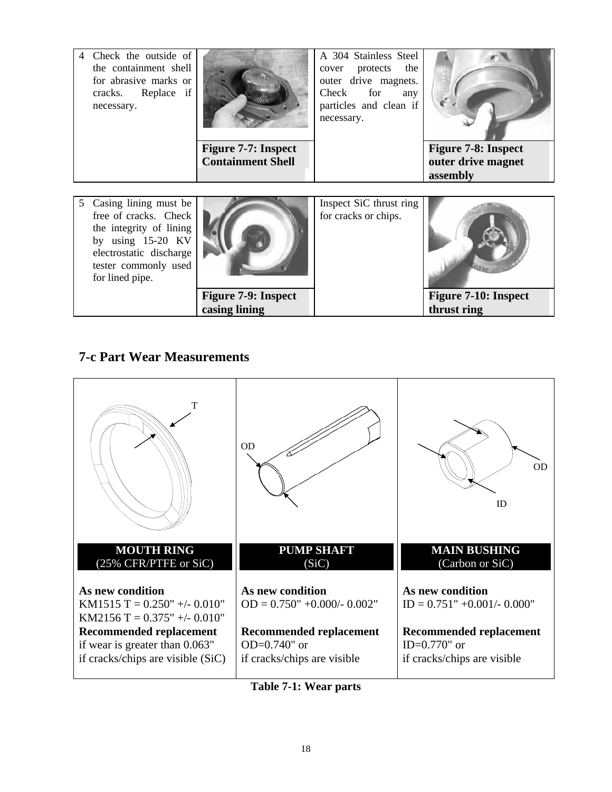|                | Check the outside of<br>the containment shell<br>for abrasive marks or<br>cracks. Replace if<br>necessary. | <b>Figure 7-7: Inspect</b><br><b>Containment Shell</b> | A 304 Stainless Steel<br>the<br>cover protects<br>outer drive magnets.<br>Check for<br>any<br>particles and clean if<br>necessary. | <b>Figure 7-8: Inspect</b><br>outer drive magnet<br>assembly |
|----------------|------------------------------------------------------------------------------------------------------------|--------------------------------------------------------|------------------------------------------------------------------------------------------------------------------------------------|--------------------------------------------------------------|
| 5 <sup>5</sup> | Casing lining must be<br>free of cracks. Check<br>the integrity of lining<br>by using 15-20 KV             |                                                        | Inspect SiC thrust ring<br>for cracks or chips.                                                                                    |                                                              |

electrostatic discharge tester commonly used for lined pipe.



 **Figure 7-9: Inspect casing lining** 

**Figure 7-10: Inspect thrust ring** 

## **7-c Part Wear Measurements**



**Table 7-1: Wear parts**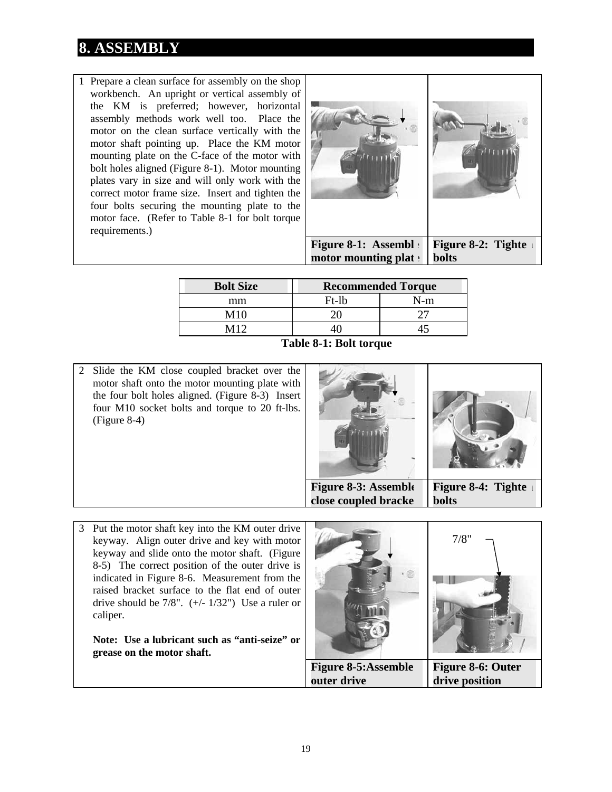# **8. ASSEMBLY**

1 Prepare a clean surface for assembly on the shop workbench. An upright or vertical assembly of the KM is preferred; however, horizontal assembly methods work well too. Place the motor on the clean surface vertically with the motor shaft pointing up. Place the KM motor mounting plate on the C-face of the motor with bolt holes aligned (Figure 8-1). Motor mounting plates vary in size and will only work with the correct motor frame size. Insert and tighten the four bolts securing the mounting plate to the motor face. (Refer to Table 8-1 for bolt torque requirements.)



**motor mounting plat bolts** 

| <b>Bolt Size</b> | <b>Recommended Torque</b> |     |  |  |  |  |
|------------------|---------------------------|-----|--|--|--|--|
| mm               | Ft-lb                     | N-m |  |  |  |  |
| M10              |                           |     |  |  |  |  |
| M12              |                           |     |  |  |  |  |
| $\sim$           | .                         |     |  |  |  |  |

 **Table 8-1: Bolt torque** 

2 Slide the KM close coupled bracket over the motor shaft onto the motor mounting plate with the four bolt holes aligned. (Figure 8-3) Insert four M10 socket bolts and torque to 20 ft-lbs. (Figure 8-4)



**close coupled bracke** 

**bolts** 

3 Put the motor shaft key into the KM outer drive keyway. Align outer drive and key with motor keyway and slide onto the motor shaft. (Figure 8-5) The correct position of the outer drive is indicated in Figure 8-6. Measurement from the raised bracket surface to the flat end of outer drive should be  $7/8$ ".  $(+/- 1/32)$ " Use a ruler or caliper.

**Note: Use a lubricant such as "anti-seize" or grease on the motor shaft.** 

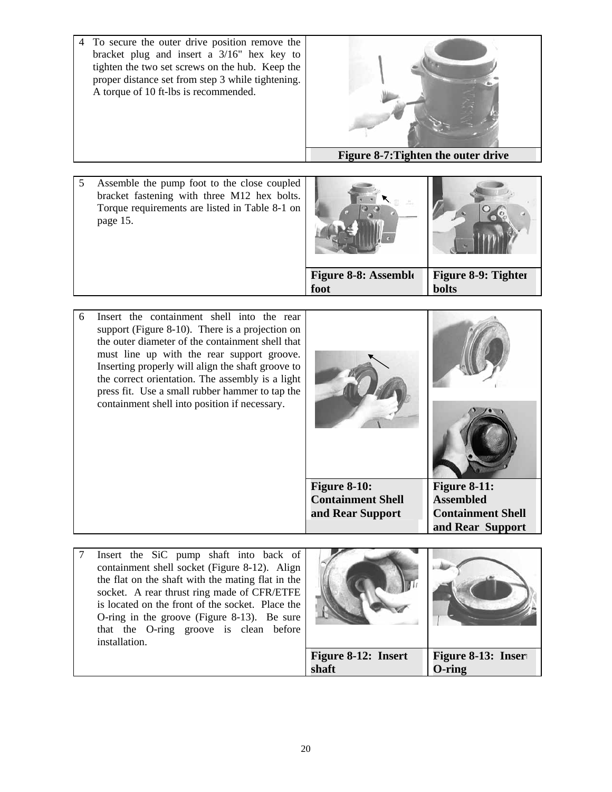4 To secure the outer drive position remove the bracket plug and insert a 3/16" hex key to tighten the two set screws on the hub. Keep the proper distance set from step 3 while tightening. A torque of 10 ft-lbs is recommended.



5 Assemble the pump foot to the close coupled bracket fastening with three M12 hex bolts. Torque requirements are listed in Table 8-1 on page 15.



6 Insert the containment shell into the rear support (Figure 8-10). There is a projection on the outer diameter of the containment shell that must line up with the rear support groove. Inserting properly will align the shaft groove to the correct orientation. The assembly is a light press fit. Use a small rubber hammer to tap the containment shell into position if necessary.



7 Insert the SiC pump shaft into back of containment shell socket (Figure 8-12). Align the flat on the shaft with the mating flat in the socket. A rear thrust ring made of CFR/ETFE is located on the front of the socket. Place the O-ring in the groove (Figure 8-13). Be sure that the O-ring groove is clean before installation.

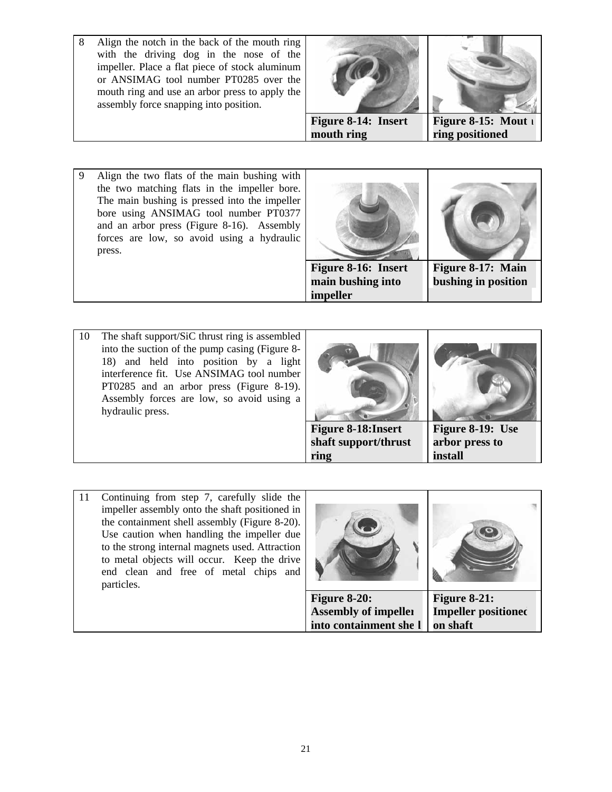8 Align the notch in the back of the mouth ring with the driving dog in the nose of the impeller. Place a flat piece of stock aluminum or ANSIMAG tool number PT0285 over the mouth ring and use an arbor press to apply the assembly force snapping into position.





 **Figure 8-14: Insert mouth ring** 

**Figure 8-15: Mout ring positioned** 

9 Align the two flats of the main bushing with the two matching flats in the impeller bore. The main bushing is pressed into the impeller bore using ANSIMAG tool number PT0377 and an arbor press (Figure 8-16). Assembly forces are low, so avoid using a hydraulic press.



- 10 The shaft support/SiC thrust ring is assembled into the suction of the pump casing (Figure 8- 18) and held into position by a light interference fit. Use ANSIMAG tool number PT0285 and an arbor press (Figure 8-19). Assembly forces are low, so avoid using a hydraulic press. **Figure 8-18:Insert shaft support/thrust ring Figure 8-19: Use arbor press to install**
- 11 Continuing from step 7, carefully slide the impeller assembly onto the shaft positioned in the containment shell assembly (Figure 8-20). Use caution when handling the impeller due to the strong internal magnets used. Attraction to metal objects will occur. Keep the drive end clean and free of metal chips and particles.



**on shaft** 

**into containment shell**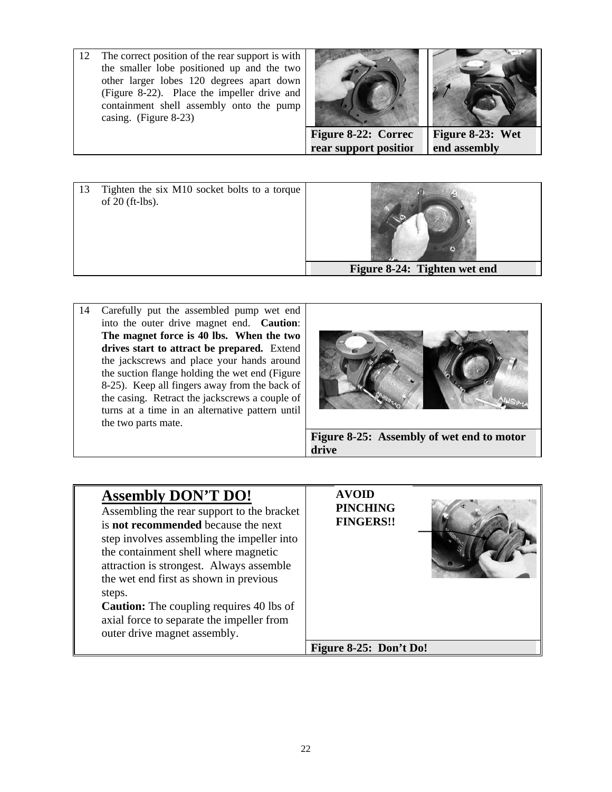12 The correct position of the rear support is with the smaller lobe positioned up and the two other larger lobes 120 degrees apart down (Figure 8-22). Place the impeller drive and containment shell assembly onto the pump casing. (Figure 8-23)





14 Carefully put the assembled pump wet end into the outer drive magnet end. **Caution**: **The magnet force is 40 lbs. When the two drives start to attract be prepared.** Extend the jackscrews and place your hands around the suction flange holding the wet end (Figure 8-25). Keep all fingers away from the back of the casing. Retract the jackscrews a couple of turns at a time in an alternative pattern until the two parts mate.



| <b>Assembly DON'T DO!</b><br>Assembling the rear support to the bracket<br>is <b>not recommended</b> because the next<br>step involves assembling the impeller into<br>the containment shell where magnetic<br>attraction is strongest. Always assemble<br>the wet end first as shown in previous<br>steps.<br><b>Caution:</b> The coupling requires 40 lbs of<br>axial force to separate the impeller from<br>outer drive magnet assembly. | <b>AVOID</b><br><b>PINCHING</b><br><b>FINGERS!!</b> |
|---------------------------------------------------------------------------------------------------------------------------------------------------------------------------------------------------------------------------------------------------------------------------------------------------------------------------------------------------------------------------------------------------------------------------------------------|-----------------------------------------------------|
|                                                                                                                                                                                                                                                                                                                                                                                                                                             | Figure 8-25: Don't Do!                              |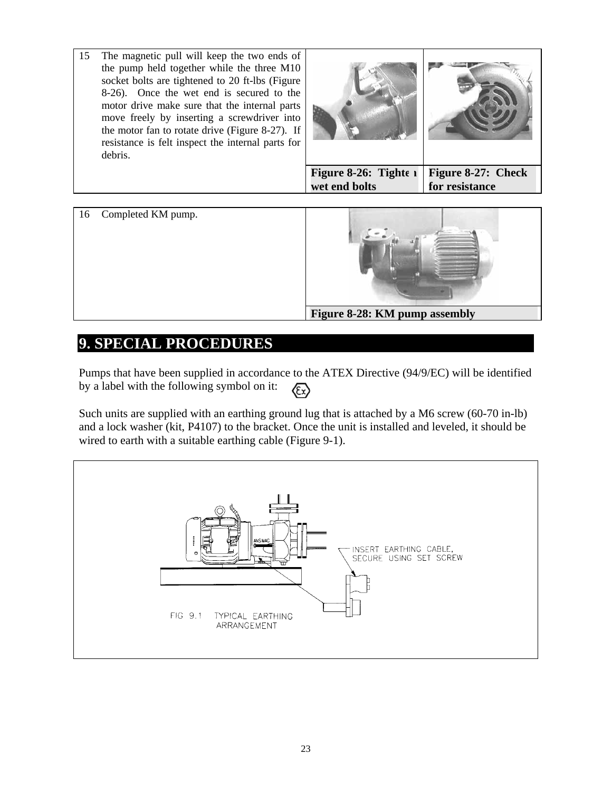15 The magnetic pull will keep the two ends of the pump held together while the three M10 socket bolts are tightened to 20 ft-lbs (Figure 8-26). Once the wet end is secured to the motor drive make sure that the internal parts move freely by inserting a screwdriver into the motor fan to rotate drive (Figure 8-27). If resistance is felt inspect the internal parts for debris. **Figure 8-26: Tighte i** 

**wet end bolts Figure 8-27: Check for resistance** 

16 Completed KM pump.



## **9. SPECIAL PROCEDURES**

Pumps that have been supplied in accordance to the ATEX Directive (94/9/EC) will be identified by a label with the following symbol on it:  $\langle \epsilon_{\rm x} \rangle$ 

Such units are supplied with an earthing ground lug that is attached by a M6 screw (60-70 in-lb) and a lock washer (kit, P4107) to the bracket. Once the unit is installed and leveled, it should be wired to earth with a suitable earthing cable (Figure 9-1).

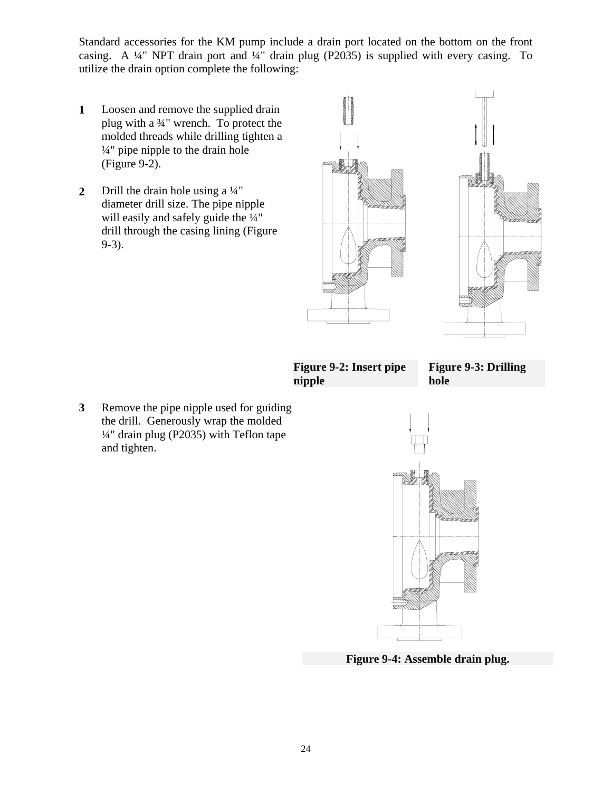Standard accessories for the KM pump include a drain port located on the bottom on the front casing. A ¼" NPT drain port and ¼" drain plug (P2035) is supplied with every casing. To utilize the drain option complete the following:

- **1**  Loosen and remove the supplied drain plug with a ¾" wrench. To protect the molded threads while drilling tighten a ¼" pipe nipple to the drain hole (Figure 9-2).
- **2**  Drill the drain hole using a ¼" diameter drill size. The pipe nipple will easily and safely guide the  $\frac{1}{4}$ " drill through the casing lining (Figure 9-3).



 **Figure 9-2: Insert pipe nipple** 

**Figure 9-3: Drilling hole** 

**3** Remove the pipe nipple used for guiding the drill. Generously wrap the molded ¼" drain plug (P2035) with Teflon tape and tighten.



 **Figure 9-4: Assemble drain plug.**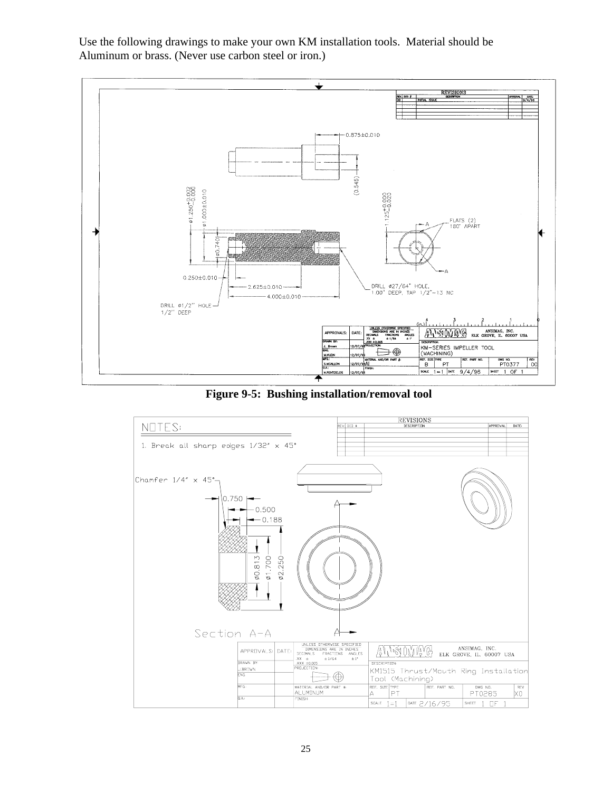Use the following drawings to make your own KM installation tools. Material should be Aluminum or brass. (Never use carbon steel or iron.)



**Figure 9-5: Bushing installation/removal tool** 

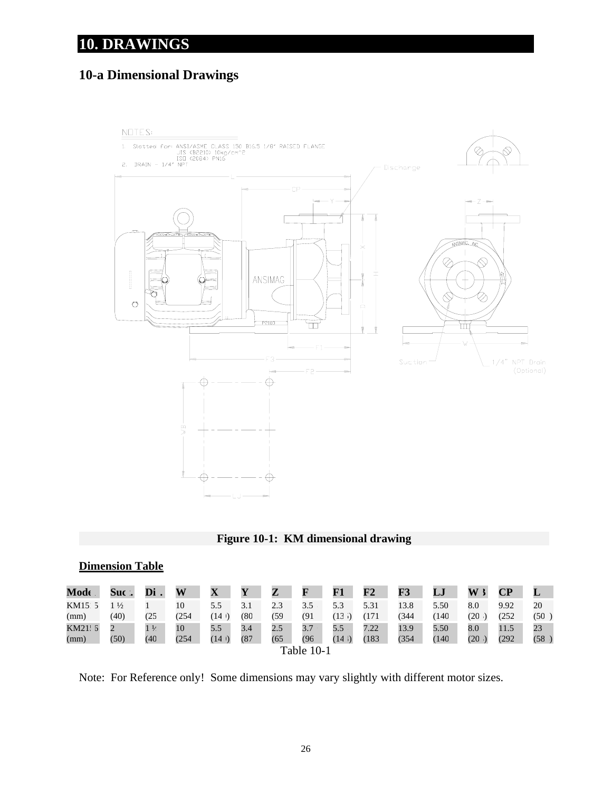# **10. DRAWINGS**

# **10-a Dimensional Drawings**



#### **Figure 10-1: KM dimensional drawing**

| <b>Dimension Table</b> |  |
|------------------------|--|
|------------------------|--|

| Mode    | Suc.          | Di             | W     | $\mathbf X$ | Y    | Z   | F    | F1   | ${\bf F2}$ | F3    | LJ   | W             | CР    |      |
|---------|---------------|----------------|-------|-------------|------|-----|------|------|------------|-------|------|---------------|-------|------|
| KM15 5  | $\frac{1}{2}$ |                | 10    | 5.5         | 3.1  | 2.3 | 3.5  | 5.3  | 5.31       | 13.8  | 5.50 | 8.0           | 9.92  | 20   |
| (mm)    | (40)          | (25            | (254  | (14 I)      | (80  | (59 | (91  | (13  | 171        | 1344  | 140  | $_{\rm (20)}$ | (252  | (50  |
| KM21: 5 |               | 1 <sup>1</sup> | 10    | 5.5         | 3.4  | 2.5 | 3.7  | 5.5  | 7.22       | 13.9  | 5.50 | 8.0           | 11.5  | 23   |
| (mm)    | (50)          | (40            | (254) | (14)        | (87) | (65 | (96) | (14) | 183        | (354) | (140 | (20)          | (292) | (58) |
|         | Table 10-1    |                |       |             |      |     |      |      |            |       |      |               |       |      |

Note: For Reference only! Some dimensions may vary slightly with different motor sizes.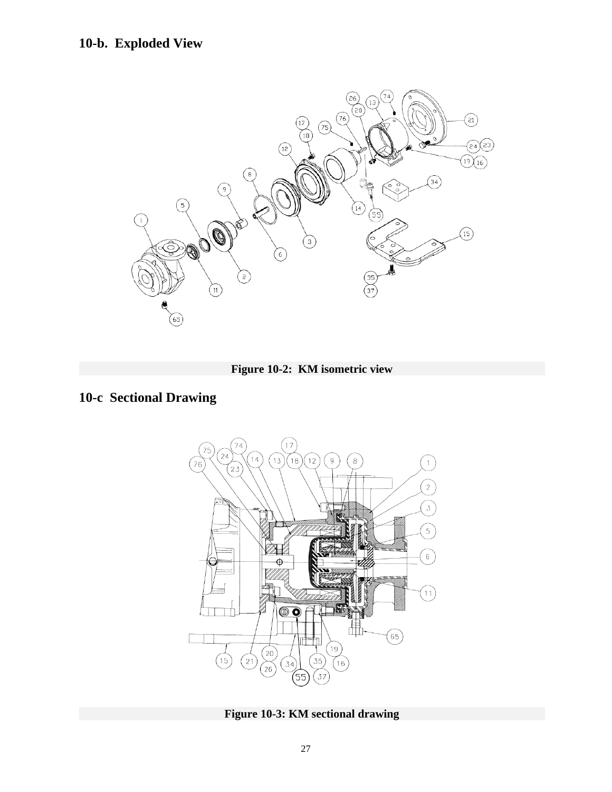# **10-b. Exploded View**





# **10-c Sectional Drawing**



**Figure 10-3: KM sectional drawing**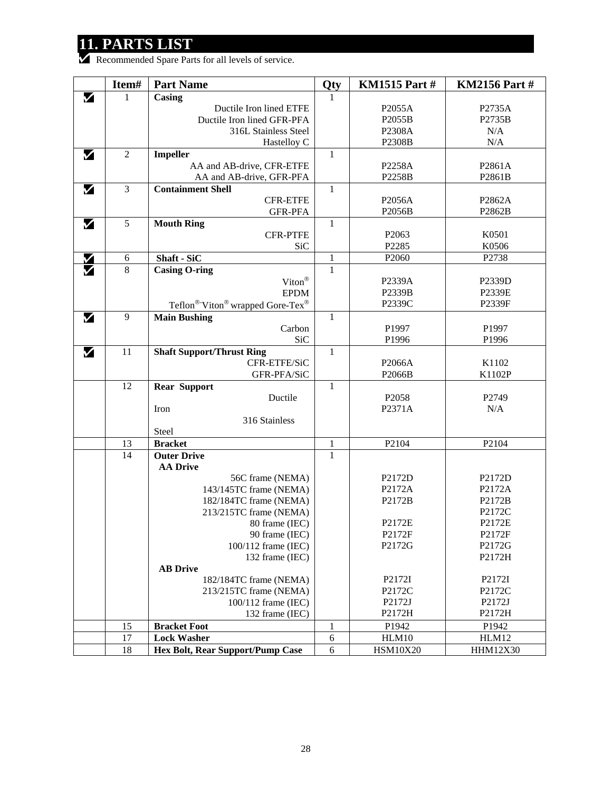# **11. PARTS LIST**

Recommended Spare Parts for all levels of service.

|                   | Item#          | <b>Part Name</b>                    | Qty          | <b>KM1515 Part#</b> | <b>KM2156 Part#</b> |
|-------------------|----------------|-------------------------------------|--------------|---------------------|---------------------|
| V                 | 1              | Casing                              | -1           |                     |                     |
|                   |                | Ductile Iron lined ETFE             |              | P2055A              | P2735A              |
|                   |                | Ductile Iron lined GFR-PFA          |              | P2055B              | P2735B              |
|                   |                | 316L Stainless Steel                |              | P2308A              | N/A                 |
|                   |                | Hastelloy C                         |              | P2308B              | N/A                 |
| M                 | $\overline{2}$ | Impeller                            | $\mathbf{1}$ |                     |                     |
|                   |                | AA and AB-drive, CFR-ETFE           |              | P2258A              | P2861A              |
|                   |                | AA and AB-drive, GFR-PFA            |              | P2258B              | P2861B              |
| М                 | $\mathfrak{Z}$ | <b>Containment Shell</b>            | 1            |                     |                     |
|                   |                | <b>CFR-ETFE</b>                     |              | P2056A              | P2862A              |
|                   |                | <b>GFR-PFA</b>                      |              | P2056B              | P2862B              |
| M                 | 5              | <b>Mouth Ring</b>                   | 1            |                     |                     |
|                   |                | <b>CFR-PTFE</b>                     |              | P <sub>2063</sub>   | K0501               |
|                   |                | <b>SiC</b>                          |              | P2285               | K0506               |
|                   | 6              | Shaft - SiC                         | 1            | P <sub>2060</sub>   | P2738               |
| $\bm{\mathsf{M}}$ | 8              | <b>Casing O-ring</b>                | $\mathbf{1}$ |                     |                     |
|                   |                | $\text{Viton}^{\circledR}$          |              | P2339A              | P2339D              |
|                   |                | <b>EPDM</b>                         |              | P2339B              | P2339E              |
|                   |                | Teflon® Viton® wrapped Gore-Tex®    |              | P2339C              | P2339F              |
| V                 | 9              | <b>Main Bushing</b>                 | 1            |                     |                     |
|                   |                | Carbon                              |              | P1997               | P1997               |
|                   |                | <b>SiC</b>                          |              | P1996               | P1996               |
| M                 | 11             | <b>Shaft Support/Thrust Ring</b>    | 1            |                     |                     |
|                   |                | CFR-ETFE/SiC                        |              | P2066A              | K1102               |
|                   |                | GFR-PFA/SiC                         |              | P2066B              | K1102P              |
|                   | 12             | <b>Rear Support</b>                 | 1            |                     |                     |
|                   |                | Ductile                             |              | P2058               | P2749               |
|                   |                | Iron                                |              | P2371A              | N/A                 |
|                   |                | 316 Stainless                       |              |                     |                     |
|                   |                | Steel                               |              |                     |                     |
|                   | 13             | <b>Bracket</b>                      | 1            | P2104               | P2104               |
|                   | 14             | <b>Outer Drive</b>                  | $\mathbf{1}$ |                     |                     |
|                   |                | <b>AA Drive</b><br>56C frame (NEMA) |              | P2172D              | P2172D              |
|                   |                | 143/145TC frame (NEMA)              |              | P2172A              | P2172A              |
|                   |                | 182/184TC frame (NEMA)              |              | P2172B              | P2172B              |
|                   |                | 213/215TC frame (NEMA)              |              |                     | P2172C              |
|                   |                | 80 frame (IEC)                      |              | P2172E              | P2172E              |
|                   |                | 90 frame (IEC)                      |              | P2172F              | P2172F              |
|                   |                | 100/112 frame (IEC)                 |              | P2172G              | P2172G              |
|                   |                | 132 frame (IEC)                     |              |                     | P2172H              |
|                   |                | <b>AB Drive</b>                     |              |                     |                     |
|                   |                | 182/184TC frame (NEMA)              |              | P <sub>2172I</sub>  | P2172I              |
|                   |                | 213/215TC frame (NEMA)              |              | P2172C              | P2172C              |
|                   |                | 100/112 frame (IEC)                 |              | P2172J              | P2172J              |
|                   |                | 132 frame (IEC)                     |              | P2172H              | P2172H              |
|                   | 15             | <b>Bracket Foot</b>                 | 1            | P1942               | P1942               |
|                   | 17             | <b>Lock Washer</b>                  | $\sqrt{6}$   | HLM10               | HLM12               |
|                   | 18             | Hex Bolt, Rear Support/Pump Case    | $\sqrt{6}$   | <b>HSM10X20</b>     | HHM12X30            |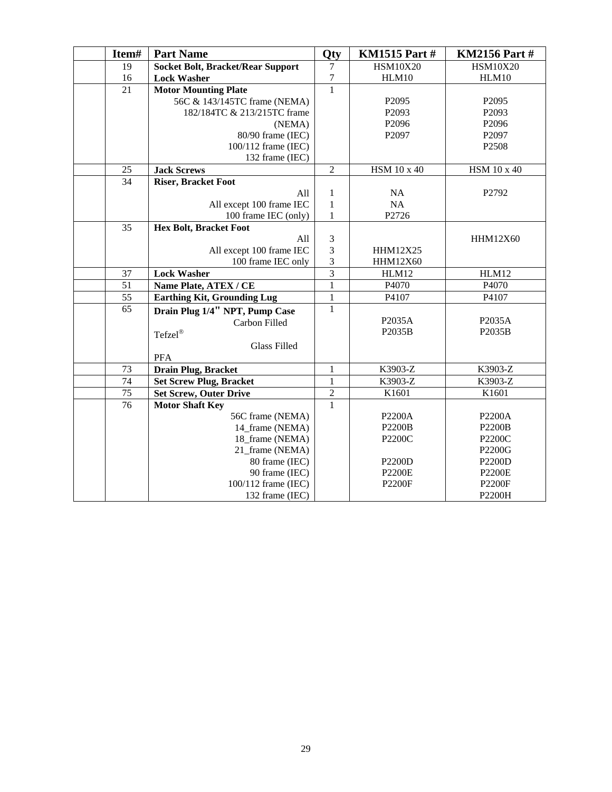| Item# | <b>Part Name</b>                         | Qty            | <b>KM1515 Part#</b> | <b>KM2156 Part#</b> |
|-------|------------------------------------------|----------------|---------------------|---------------------|
| 19    | <b>Socket Bolt, Bracket/Rear Support</b> | 7              | <b>HSM10X20</b>     | <b>HSM10X20</b>     |
| 16    | <b>Lock Washer</b>                       | $\overline{7}$ | HLM10               | HLM10               |
| 21    | <b>Motor Mounting Plate</b>              | $\mathbf{1}$   |                     |                     |
|       | 56C & 143/145TC frame (NEMA)             |                | P <sub>2095</sub>   | P2095               |
|       | 182/184TC & 213/215TC frame              |                | P2093               | P2093               |
|       | (NEMA)                                   |                | P2096               | P2096               |
|       | 80/90 frame (IEC)                        |                | P2097               | P2097               |
|       | 100/112 frame (IEC)                      |                |                     | P2508               |
|       | 132 frame (IEC)                          |                |                     |                     |
| 25    | <b>Jack Screws</b>                       | $\overline{2}$ | HSM 10 x 40         | HSM 10 x 40         |
| 34    | <b>Riser, Bracket Foot</b>               |                |                     |                     |
|       | All                                      | $\mathbf{1}$   | $\rm NA$            | P2792               |
|       | All except 100 frame IEC                 | $\mathbf{1}$   | NA                  |                     |
|       | 100 frame IEC (only)                     | $\mathbf{1}$   | P2726               |                     |
| 35    | <b>Hex Bolt, Bracket Foot</b>            |                |                     |                     |
|       | All                                      | 3              |                     | HHM12X60            |
|       | All except 100 frame IEC                 | $\overline{3}$ | HHM12X25            |                     |
|       | 100 frame IEC only                       | 3              | HHM12X60            |                     |
| 37    | <b>Lock Washer</b>                       | $\overline{3}$ | HLM12               | HLM12               |
| 51    | Name Plate, ATEX / CE                    | $\mathbf{1}$   | P4070               | P4070               |
| 55    | <b>Earthing Kit, Grounding Lug</b>       | $\mathbf{1}$   | P4107               | P4107               |
| 65    | Drain Plug 1/4" NPT, Pump Case           | $\mathbf{1}$   |                     |                     |
|       | Carbon Filled                            |                | P2035A              | P2035A              |
|       | Tefzel®                                  |                | P2035B              | P2035B              |
|       | <b>Glass Filled</b>                      |                |                     |                     |
|       | <b>PFA</b>                               |                |                     |                     |
| 73    | Drain Plug, Bracket                      | $\mathbf{1}$   | K3903-Z             | K3903-Z             |
| 74    | <b>Set Screw Plug, Bracket</b>           | 1              | K3903-Z             | K3903-Z             |
| 75    | <b>Set Screw, Outer Drive</b>            | $\overline{2}$ | K1601               | K1601               |
| 76    | <b>Motor Shaft Key</b>                   | $\mathbf{1}$   |                     |                     |
|       | 56C frame (NEMA)                         |                | P2200A              | P2200A              |
|       | 14 frame (NEMA)                          |                | <b>P2200B</b>       | <b>P2200B</b>       |
|       | 18_frame (NEMA)                          |                | P2200C              | P2200C              |
|       | 21_frame (NEMA)                          |                |                     | P2200G              |
|       | 80 frame (IEC)                           |                | <b>P2200D</b>       | P2200D              |
|       | 90 frame (IEC)                           |                | <b>P2200E</b>       | <b>P2200E</b>       |
|       | 100/112 frame (IEC)                      |                | <b>P2200F</b>       | <b>P2200F</b>       |
|       | 132 frame (IEC)                          |                |                     | P2200H              |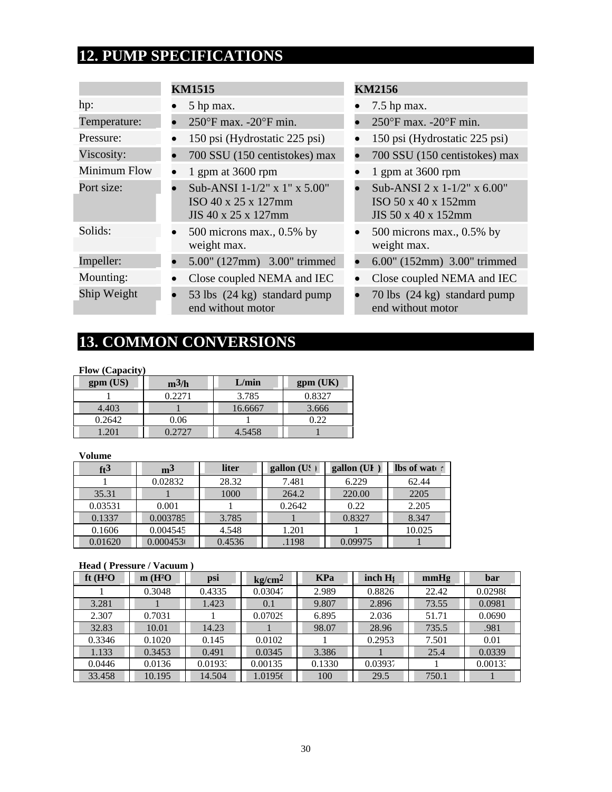# **12. PUMP SPECIFICATIONS**

|              | <b>KM1515</b>                                                              | <b>KM2156</b>                                                                |
|--------------|----------------------------------------------------------------------------|------------------------------------------------------------------------------|
| hp:          | 5 hp max.                                                                  | $7.5$ hp max.                                                                |
| Temperature: | $250^{\circ}$ F max. -20 $^{\circ}$ F min.                                 | $250^{\circ}$ F max. -20 $^{\circ}$ F min.                                   |
| Pressure:    | 150 psi (Hydrostatic 225 psi)                                              | 150 psi (Hydrostatic 225 psi)                                                |
| Viscosity:   | 700 SSU (150 centistokes) max                                              | 700 SSU (150 centistokes) max                                                |
| Minimum Flow | 1 gpm at $3600$ rpm                                                        | 1 gpm at $3600$ rpm                                                          |
| Port size:   | Sub-ANSI 1-1/2" x 1" x 5.00"<br>ISO 40 x 25 x 127mm<br>JIS 40 x 25 x 127mm | Sub-ANSI 2 x $1-1/2$ " x 6.00"<br>ISO 50 x 40 x 152mm<br>JIS 50 x 40 x 152mm |
| Solids:      | 500 microns max., $0.5\%$ by<br>weight max.                                | 500 microns max., 0.5% by<br>weight max.                                     |
| Impeller:    | 5.00" (127mm) 3.00" trimmed                                                | 6.00" (152mm) 3.00" trimmed                                                  |
| Mounting:    | Close coupled NEMA and IEC                                                 | Close coupled NEMA and IEC                                                   |
| Ship Weight  | 53 lbs (24 kg) standard pump<br>end without motor                          | 70 lbs (24 kg) standard pump<br>end without motor                            |

# **13. COMMON CONVERSIONS**

#### **Flow (Capacity)**

| gpm (US) | $m^3/h$ | L/min   | gpm (UK) |
|----------|---------|---------|----------|
|          | 0.2271  | 3.785   | 0.8327   |
| 4.403    |         | 16.6667 | 3.666    |
| 0.2642   | 0.06    |         | ገ ንን     |
| .201     | 0.2727  | 4.5458  |          |

#### **Volume**

| ft <sup>3</sup> | m <sup>3</sup> | liter  | gallon (U. | gallon (UI | lbs of water |
|-----------------|----------------|--------|------------|------------|--------------|
|                 | 0.02832        | 28.32  | 7.481      | 6.229      | 62.44        |
| 35.31           |                | 1000   | 264.2      | 220.00     | 2205         |
| 0.03531         | 0.001          |        | 0.2642     | 0.22       | 2.205        |
| 0.1337          | 0.003785       | 3.785  |            | 0.8327     | 8.347        |
| 0.1606          | 0.004545       | 4.548  | 1.201      |            | 10.025       |
| 0.01620         | 0.000453       | 0.4536 | .1198      | 0.09975    |              |

#### **Head ( Pressure / Vacuum )**

| ft $(H^2O)$ | m(H <sup>2</sup> O) | psi     | kg/cm <sup>2</sup> | <b>KPa</b> | inch H <sub>s</sub> | mmHg  | bar     |
|-------------|---------------------|---------|--------------------|------------|---------------------|-------|---------|
|             | 0.3048              | 0.4335  | 0.03047            | 2.989      | 0.8826              | 22.42 | 0.02988 |
| 3.281       |                     | 1.423   | 0.1                | 9.807      | 2.896               | 73.55 | 0.0981  |
| 2.307       | 0.7031              |         | 0.07029            | 6.895      | 2.036               | 51.71 | 0.0690  |
| 32.83       | 10.01               | 14.23   |                    | 98.07      | 28.96               | 735.5 | .981    |
| 0.3346      | 0.1020              | 0.145   | 0.0102             |            | 0.2953              | 7.501 | 0.01    |
| 1.133       | 0.3453              | 0.491   | 0.0345             | 3.386      |                     | 25.4  | 0.0339  |
| 0.0446      | 0.0136              | 0.01933 | 0.00135            | 0.1330     | 0.03937             |       | 0.00133 |
| 33.458      | 10.195              | 14.504  | 1.01956            | 100        | 29.5                | 750.1 |         |